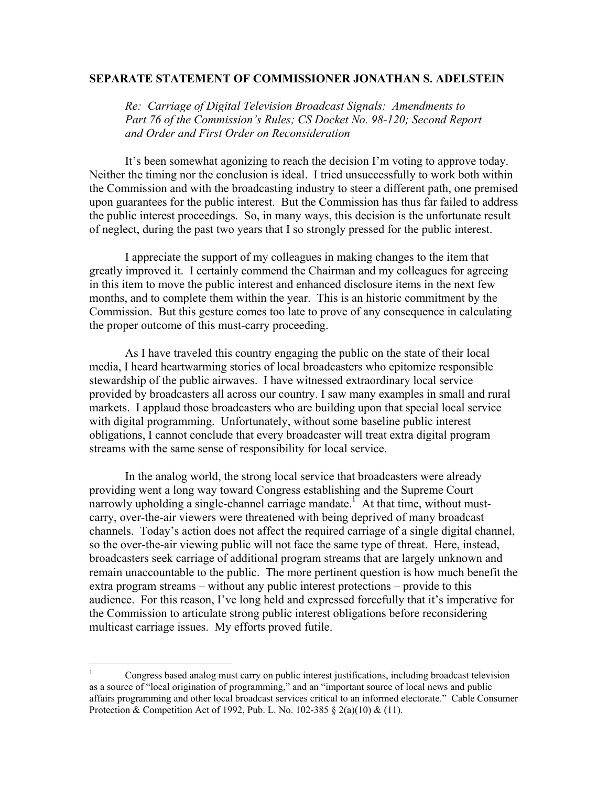## **SEPARATE STATEMENT OF COMMISSIONER JONATHAN S. ADELSTEIN**

*Re: Carriage of Digital Television Broadcast Signals: Amendments to Part 76 of the Commission's Rules; CS Docket No. 98-120; Second Report and Order and First Order on Reconsideration* 

It's been somewhat agonizing to reach the decision I'm voting to approve today. Neither the timing nor the conclusion is ideal. I tried unsuccessfully to work both within the Commission and with the broadcasting industry to steer a different path, one premised upon guarantees for the public interest. But the Commission has thus far failed to address the public interest proceedings. So, in many ways, this decision is the unfortunate result of neglect, during the past two years that I so strongly pressed for the public interest.

I appreciate the support of my colleagues in making changes to the item that greatly improved it. I certainly commend the Chairman and my colleagues for agreeing in this item to move the public interest and enhanced disclosure items in the next few months, and to complete them within the year. This is an historic commitment by the Commission. But this gesture comes too late to prove of any consequence in calculating the proper outcome of this must-carry proceeding.

As I have traveled this country engaging the public on the state of their local media, I heard heartwarming stories of local broadcasters who epitomize responsible stewardship of the public airwaves. I have witnessed extraordinary local service provided by broadcasters all across our country. I saw many examples in small and rural markets. I applaud those broadcasters who are building upon that special local service with digital programming. Unfortunately, without some baseline public interest obligations, I cannot conclude that every broadcaster will treat extra digital program streams with the same sense of responsibility for local service.

In the analog world, the strong local service that broadcasters were already providing went a long way toward Congress establishing and the Supreme Court narrowly upholding a single-channel carriage mandate.<sup>1</sup> At that time, without mustcarry, over-the-air viewers were threatened with being deprived of many broadcast channels. Today's action does not affect the required carriage of a single digital channel, so the over-the-air viewing public will not face the same type of threat. Here, instead, broadcasters seek carriage of additional program streams that are largely unknown and remain unaccountable to the public. The more pertinent question is how much benefit the extra program streams – without any public interest protections – provide to this audience. For this reason, I've long held and expressed forcefully that it's imperative for the Commission to articulate strong public interest obligations before reconsidering multicast carriage issues. My efforts proved futile.

 $\overline{a}$ 

<sup>1</sup> Congress based analog must carry on public interest justifications, including broadcast television as a source of "local origination of programming," and an "important source of local news and public affairs programming and other local broadcast services critical to an informed electorate." Cable Consumer Protection & Competition Act of 1992, Pub. L. No. 102-385 § 2(a)(10) & (11).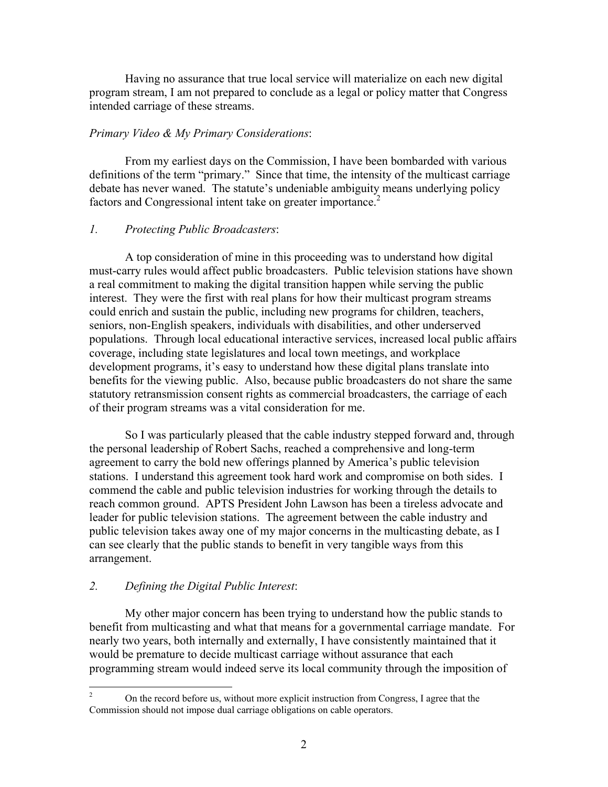Having no assurance that true local service will materialize on each new digital program stream, I am not prepared to conclude as a legal or policy matter that Congress intended carriage of these streams.

## *Primary Video & My Primary Considerations*:

From my earliest days on the Commission, I have been bombarded with various definitions of the term "primary." Since that time, the intensity of the multicast carriage debate has never waned. The statute's undeniable ambiguity means underlying policy factors and Congressional intent take on greater importance.<sup>2</sup>

## *1. Protecting Public Broadcasters*:

A top consideration of mine in this proceeding was to understand how digital must-carry rules would affect public broadcasters. Public television stations have shown a real commitment to making the digital transition happen while serving the public interest. They were the first with real plans for how their multicast program streams could enrich and sustain the public, including new programs for children, teachers, seniors, non-English speakers, individuals with disabilities, and other underserved populations. Through local educational interactive services, increased local public affairs coverage, including state legislatures and local town meetings, and workplace development programs, it's easy to understand how these digital plans translate into benefits for the viewing public. Also, because public broadcasters do not share the same statutory retransmission consent rights as commercial broadcasters, the carriage of each of their program streams was a vital consideration for me.

So I was particularly pleased that the cable industry stepped forward and, through the personal leadership of Robert Sachs, reached a comprehensive and long-term agreement to carry the bold new offerings planned by America's public television stations. I understand this agreement took hard work and compromise on both sides. I commend the cable and public television industries for working through the details to reach common ground. APTS President John Lawson has been a tireless advocate and leader for public television stations. The agreement between the cable industry and public television takes away one of my major concerns in the multicasting debate, as I can see clearly that the public stands to benefit in very tangible ways from this arrangement.

## *2. Defining the Digital Public Interest*:

My other major concern has been trying to understand how the public stands to benefit from multicasting and what that means for a governmental carriage mandate. For nearly two years, both internally and externally, I have consistently maintained that it would be premature to decide multicast carriage without assurance that each programming stream would indeed serve its local community through the imposition of

 $\frac{1}{2}$  On the record before us, without more explicit instruction from Congress, I agree that the Commission should not impose dual carriage obligations on cable operators.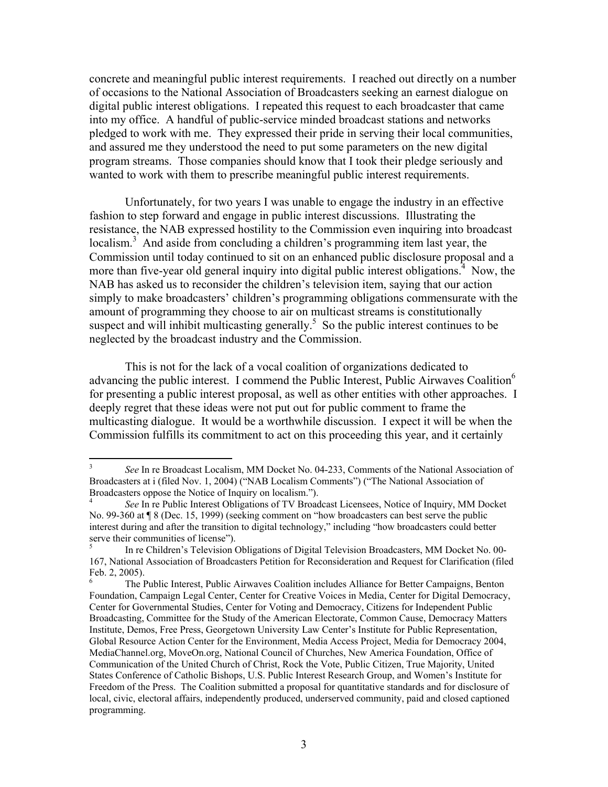concrete and meaningful public interest requirements. I reached out directly on a number of occasions to the National Association of Broadcasters seeking an earnest dialogue on digital public interest obligations. I repeated this request to each broadcaster that came into my office. A handful of public-service minded broadcast stations and networks pledged to work with me. They expressed their pride in serving their local communities, and assured me they understood the need to put some parameters on the new digital program streams. Those companies should know that I took their pledge seriously and wanted to work with them to prescribe meaningful public interest requirements.

Unfortunately, for two years I was unable to engage the industry in an effective fashion to step forward and engage in public interest discussions. Illustrating the resistance, the NAB expressed hostility to the Commission even inquiring into broadcast localism.<sup>3</sup> And aside from concluding a children's programming item last year, the Commission until today continued to sit on an enhanced public disclosure proposal and a more than five-year old general inquiry into digital public interest obligations.<sup>4</sup> Now, the NAB has asked us to reconsider the children's television item, saying that our action simply to make broadcasters' children's programming obligations commensurate with the amount of programming they choose to air on multicast streams is constitutionally suspect and will inhibit multicasting generally.<sup>5</sup> So the public interest continues to be neglected by the broadcast industry and the Commission.

This is not for the lack of a vocal coalition of organizations dedicated to advancing the public interest. I commend the Public Interest, Public Airwaves Coalition<sup>6</sup> for presenting a public interest proposal, as well as other entities with other approaches. I deeply regret that these ideas were not put out for public comment to frame the multicasting dialogue. It would be a worthwhile discussion. I expect it will be when the Commission fulfills its commitment to act on this proceeding this year, and it certainly

 $\frac{1}{3}$  *See* In re Broadcast Localism, MM Docket No. 04-233, Comments of the National Association of Broadcasters at i (filed Nov. 1, 2004) ("NAB Localism Comments") ("The National Association of Broadcasters oppose the Notice of Inquiry on localism."). 4

*See* In re Public Interest Obligations of TV Broadcast Licensees, Notice of Inquiry, MM Docket No. 99-360 at ¶ 8 (Dec. 15, 1999) (seeking comment on "how broadcasters can best serve the public interest during and after the transition to digital technology," including "how broadcasters could better serve their communities of license").

<sup>5</sup> In re Children's Television Obligations of Digital Television Broadcasters, MM Docket No. 00- 167, National Association of Broadcasters Petition for Reconsideration and Request for Clarification (filed Feb. 2, 2005).

<sup>6</sup> The Public Interest, Public Airwaves Coalition includes Alliance for Better Campaigns, Benton Foundation, Campaign Legal Center, Center for Creative Voices in Media, Center for Digital Democracy, Center for Governmental Studies, Center for Voting and Democracy, Citizens for Independent Public Broadcasting, Committee for the Study of the American Electorate, Common Cause, Democracy Matters Institute, Demos, Free Press, Georgetown University Law Center's Institute for Public Representation, Global Resource Action Center for the Environment, Media Access Project, Media for Democracy 2004, MediaChannel.org, MoveOn.org, National Council of Churches, New America Foundation, Office of Communication of the United Church of Christ, Rock the Vote, Public Citizen, True Majority, United States Conference of Catholic Bishops, U.S. Public Interest Research Group, and Women's Institute for Freedom of the Press. The Coalition submitted a proposal for quantitative standards and for disclosure of local, civic, electoral affairs, independently produced, underserved community, paid and closed captioned programming.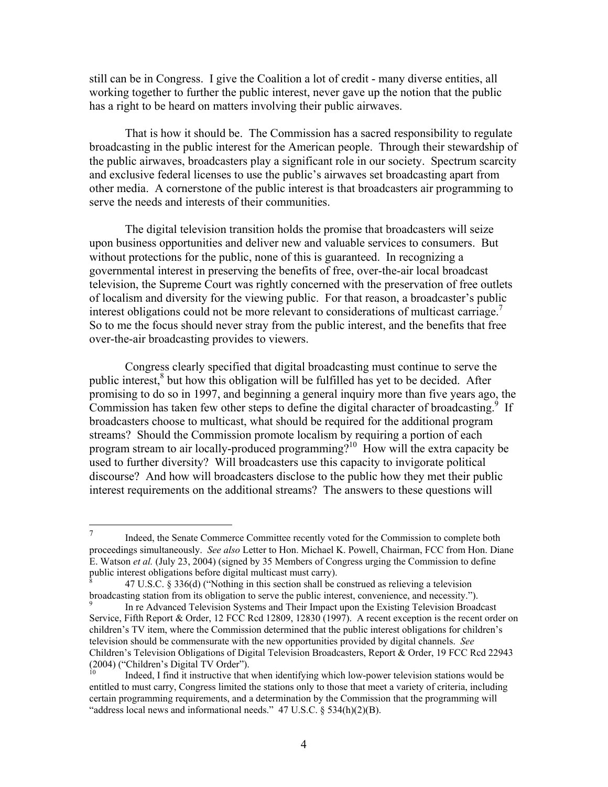still can be in Congress. I give the Coalition a lot of credit - many diverse entities, all working together to further the public interest, never gave up the notion that the public has a right to be heard on matters involving their public airwaves.

That is how it should be. The Commission has a sacred responsibility to regulate broadcasting in the public interest for the American people. Through their stewardship of the public airwaves, broadcasters play a significant role in our society. Spectrum scarcity and exclusive federal licenses to use the public's airwaves set broadcasting apart from other media. A cornerstone of the public interest is that broadcasters air programming to serve the needs and interests of their communities.

The digital television transition holds the promise that broadcasters will seize upon business opportunities and deliver new and valuable services to consumers. But without protections for the public, none of this is guaranteed. In recognizing a governmental interest in preserving the benefits of free, over-the-air local broadcast television, the Supreme Court was rightly concerned with the preservation of free outlets of localism and diversity for the viewing public. For that reason, a broadcaster's public interest obligations could not be more relevant to considerations of multicast carriage.<sup>7</sup> So to me the focus should never stray from the public interest, and the benefits that free over-the-air broadcasting provides to viewers.

Congress clearly specified that digital broadcasting must continue to serve the public interest,<sup>8</sup> but how this obligation will be fulfilled has yet to be decided. After promising to do so in 1997, and beginning a general inquiry more than five years ago, the Commission has taken few other steps to define the digital character of broadcasting.<sup>9</sup> If broadcasters choose to multicast, what should be required for the additional program streams? Should the Commission promote localism by requiring a portion of each program stream to air locally-produced programming?<sup>10</sup> How will the extra capacity be used to further diversity? Will broadcasters use this capacity to invigorate political discourse? And how will broadcasters disclose to the public how they met their public interest requirements on the additional streams? The answers to these questions will

 $\overline{7}$ Indeed, the Senate Commerce Committee recently voted for the Commission to complete both proceedings simultaneously. *See also* Letter to Hon. Michael K. Powell, Chairman, FCC from Hon. Diane E. Watson *et al.* (July 23, 2004) (signed by 35 Members of Congress urging the Commission to define public interest obligations before digital multicast must carry).

<sup>8</sup> 47 U.S.C. § 336(d) ("Nothing in this section shall be construed as relieving a television broadcasting station from its obligation to serve the public interest, convenience, and necessity.").

<sup>9</sup> In re Advanced Television Systems and Their Impact upon the Existing Television Broadcast Service, Fifth Report & Order, 12 FCC Rcd 12809, 12830 (1997). A recent exception is the recent order on children's TV item, where the Commission determined that the public interest obligations for children's television should be commensurate with the new opportunities provided by digital channels. *See* Children's Television Obligations of Digital Television Broadcasters, Report & Order, 19 FCC Rcd 22943  $(2004)$  ("Children's Digital TV Order").

<sup>10</sup> Indeed, I find it instructive that when identifying which low-power television stations would be entitled to must carry, Congress limited the stations only to those that meet a variety of criteria, including certain programming requirements, and a determination by the Commission that the programming will "address local news and informational needs." 47 U.S.C. § 534(h)(2)(B).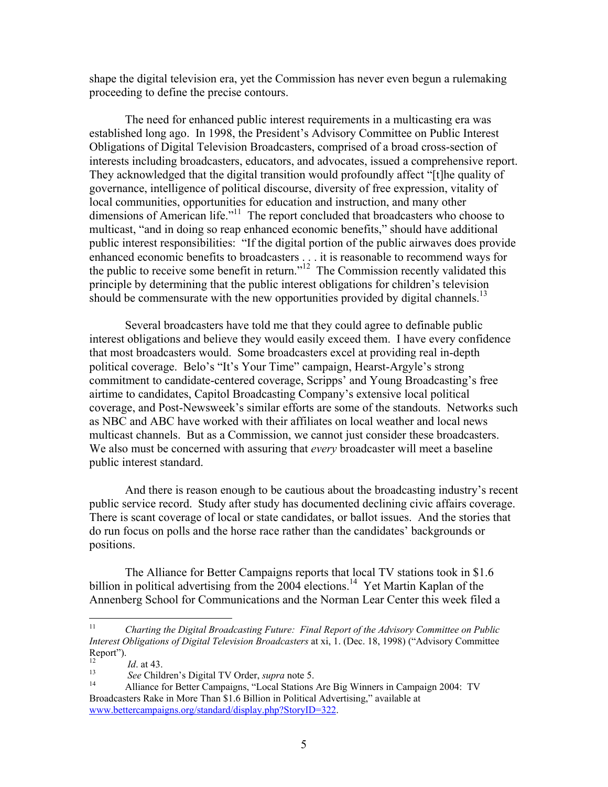shape the digital television era, yet the Commission has never even begun a rulemaking proceeding to define the precise contours.

The need for enhanced public interest requirements in a multicasting era was established long ago. In 1998, the President's Advisory Committee on Public Interest Obligations of Digital Television Broadcasters, comprised of a broad cross-section of interests including broadcasters, educators, and advocates, issued a comprehensive report. They acknowledged that the digital transition would profoundly affect "[t]he quality of governance, intelligence of political discourse, diversity of free expression, vitality of local communities, opportunities for education and instruction, and many other dimensions of American life."<sup>11</sup> The report concluded that broadcasters who choose to multicast, "and in doing so reap enhanced economic benefits," should have additional public interest responsibilities: "If the digital portion of the public airwaves does provide enhanced economic benefits to broadcasters . . . it is reasonable to recommend ways for the public to receive some benefit in return."<sup>12</sup> The Commission recently validated this principle by determining that the public interest obligations for children's television should be commensurate with the new opportunities provided by digital channels.<sup>13</sup>

Several broadcasters have told me that they could agree to definable public interest obligations and believe they would easily exceed them. I have every confidence that most broadcasters would. Some broadcasters excel at providing real in-depth political coverage. Belo's "It's Your Time" campaign, Hearst-Argyle's strong commitment to candidate-centered coverage, Scripps' and Young Broadcasting's free airtime to candidates, Capitol Broadcasting Company's extensive local political coverage, and Post-Newsweek's similar efforts are some of the standouts. Networks such as NBC and ABC have worked with their affiliates on local weather and local news multicast channels. But as a Commission, we cannot just consider these broadcasters. We also must be concerned with assuring that *every* broadcaster will meet a baseline public interest standard.

And there is reason enough to be cautious about the broadcasting industry's recent public service record. Study after study has documented declining civic affairs coverage. There is scant coverage of local or state candidates, or ballot issues. And the stories that do run focus on polls and the horse race rather than the candidates' backgrounds or positions.

The Alliance for Better Campaigns reports that local TV stations took in \$1.6 billion in political advertising from the  $2004$  elections.<sup>14</sup> Yet Martin Kaplan of the Annenberg School for Communications and the Norman Lear Center this week filed a

 $11$ 11 *Charting the Digital Broadcasting Future: Final Report of the Advisory Committee on Public Interest Obligations of Digital Television Broadcasters* at xi, 1. (Dec. 18, 1998) ("Advisory Committee Report").

<sup>&</sup>lt;sup>12</sup><br><sup>13</sup> *See* Children's Digital TV Order, *supra* note 5.<br><sup>14</sup> Alliance for Better Campaigns, "Local Stations Are Big Winners in Campaign 2004: TV Broadcasters Rake in More Than \$1.6 Billion in Political Advertising," available at www.bettercampaigns.org/standard/display.php?StoryID=322.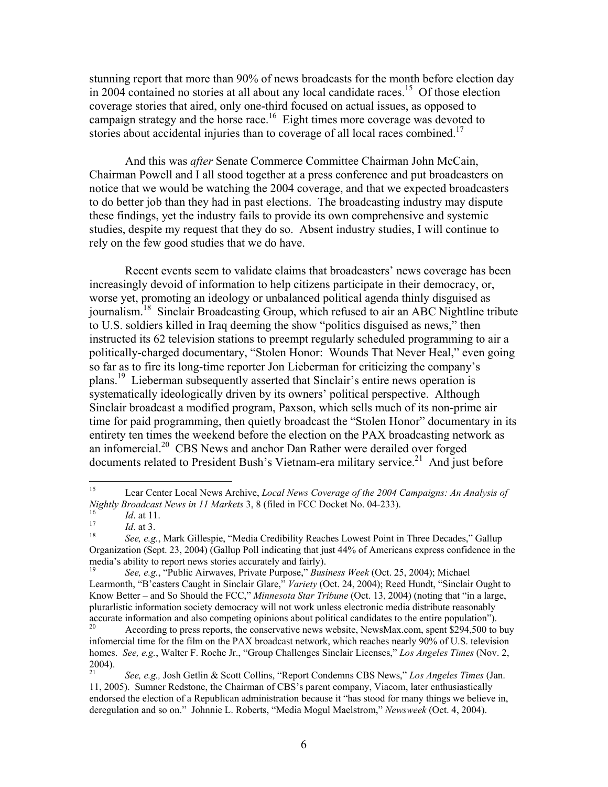stunning report that more than 90% of news broadcasts for the month before election day in 2004 contained no stories at all about any local candidate races.<sup>15</sup> Of those election coverage stories that aired, only one-third focused on actual issues, as opposed to campaign strategy and the horse race.<sup>16</sup> Eight times more coverage was devoted to stories about accidental injuries than to coverage of all local races combined.<sup>17</sup>

And this was *after* Senate Commerce Committee Chairman John McCain, Chairman Powell and I all stood together at a press conference and put broadcasters on notice that we would be watching the 2004 coverage, and that we expected broadcasters to do better job than they had in past elections. The broadcasting industry may dispute these findings, yet the industry fails to provide its own comprehensive and systemic studies, despite my request that they do so. Absent industry studies, I will continue to rely on the few good studies that we do have.

Recent events seem to validate claims that broadcasters' news coverage has been increasingly devoid of information to help citizens participate in their democracy, or, worse yet, promoting an ideology or unbalanced political agenda thinly disguised as journalism.<sup>18</sup> Sinclair Broadcasting Group, which refused to air an ABC Nightline tribute to U.S. soldiers killed in Iraq deeming the show "politics disguised as news," then instructed its 62 television stations to preempt regularly scheduled programming to air a politically-charged documentary, "Stolen Honor: Wounds That Never Heal," even going so far as to fire its long-time reporter Jon Lieberman for criticizing the company's plans.<sup>19</sup> Lieberman subsequently asserted that Sinclair's entire news operation is systematically ideologically driven by its owners' political perspective. Although Sinclair broadcast a modified program, Paxson, which sells much of its non-prime air time for paid programming, then quietly broadcast the "Stolen Honor" documentary in its entirety ten times the weekend before the election on the PAX broadcasting network as an infomercial.20 CBS News and anchor Dan Rather were derailed over forged documents related to President Bush's Vietnam-era military service.<sup>21</sup> And just before

<sup>15</sup> 15 Lear Center Local News Archive, *Local News Coverage of the 2004 Campaigns: An Analysis of Nightly Broadcast News in 11 Markets* 3, 8 (filed in FCC Docket No. 04-233).<br> *Id.* at 11.<br> *Id.* at 3.<br> *See, e.g., Mark Gillespie, "Media Credibility Reaches Lowest Point in Three Decades," Gallup* 

Organization (Sept. 23, 2004) (Gallup Poll indicating that just 44% of Americans express confidence in the media's ability to report news stories accurately and fairly).<br><sup>19</sup> *See, e.g.*, "Public Airwaves, Private Purpose," *Business Week* (Oct. 25, 2004); Michael

Learmonth, "B'casters Caught in Sinclair Glare," *Variety* (Oct. 24, 2004); Reed Hundt, "Sinclair Ought to Know Better – and So Should the FCC," *Minnesota Star Tribune* (Oct. 13, 2004) (noting that "in a large, plurarlistic information society democracy will not work unless electronic media distribute reasonably accurate information and also competing opinions about political candidates to the entire population").<br><sup>20</sup> According to press reports, the conservative news website, NewsMax.com, spent \$294,500 to buy

infomercial time for the film on the PAX broadcast network, which reaches nearly 90% of U.S. television homes. *See, e.g.*, Walter F. Roche Jr., "Group Challenges Sinclair Licenses," *Los Angeles Times* (Nov. 2,  $_{21}^{2004}$ ).

<sup>21</sup> *See, e.g.,* Josh Getlin & Scott Collins, "Report Condemns CBS News," *Los Angeles Times* (Jan. 11, 2005). Sumner Redstone, the Chairman of CBS's parent company, Viacom, later enthusiastically endorsed the election of a Republican administration because it "has stood for many things we believe in, deregulation and so on." Johnnie L. Roberts, "Media Mogul Maelstrom," *Newsweek* (Oct. 4, 2004).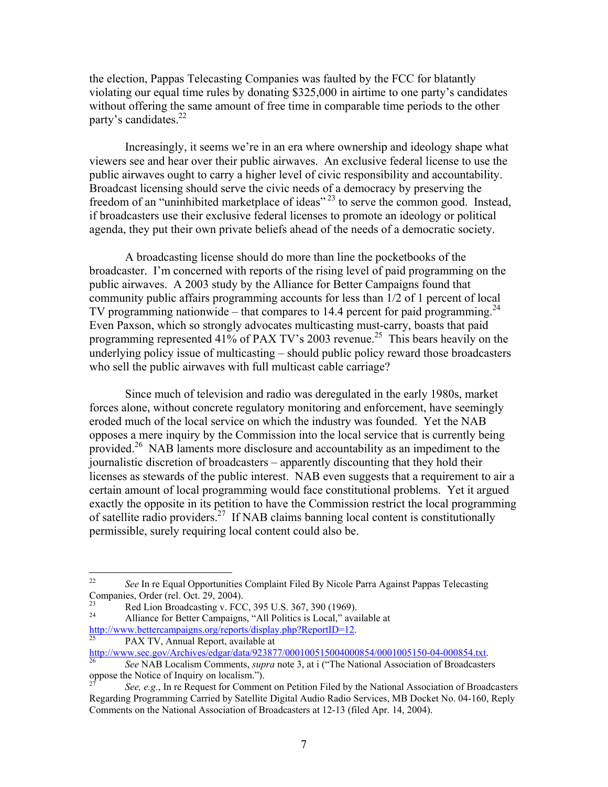the election, Pappas Telecasting Companies was faulted by the FCC for blatantly violating our equal time rules by donating \$325,000 in airtime to one party's candidates without offering the same amount of free time in comparable time periods to the other party's candidates. $^{22}$ 

Increasingly, it seems we're in an era where ownership and ideology shape what viewers see and hear over their public airwaves. An exclusive federal license to use the public airwaves ought to carry a higher level of civic responsibility and accountability. Broadcast licensing should serve the civic needs of a democracy by preserving the freedom of an "uninhibited marketplace of ideas" 23 to serve the common good. Instead, if broadcasters use their exclusive federal licenses to promote an ideology or political agenda, they put their own private beliefs ahead of the needs of a democratic society.

A broadcasting license should do more than line the pocketbooks of the broadcaster. I'm concerned with reports of the rising level of paid programming on the public airwaves. A 2003 study by the Alliance for Better Campaigns found that community public affairs programming accounts for less than 1/2 of 1 percent of local TV programming nationwide – that compares to 14.4 percent for paid programming.<sup>24</sup> Even Paxson, which so strongly advocates multicasting must-carry, boasts that paid programming represented 41% of PAX TV's 2003 revenue.<sup>25</sup> This bears heavily on the underlying policy issue of multicasting – should public policy reward those broadcasters who sell the public airwaves with full multicast cable carriage?

Since much of television and radio was deregulated in the early 1980s, market forces alone, without concrete regulatory monitoring and enforcement, have seemingly eroded much of the local service on which the industry was founded. Yet the NAB opposes a mere inquiry by the Commission into the local service that is currently being provided.<sup>26</sup> NAB laments more disclosure and accountability as an impediment to the journalistic discretion of broadcasters – apparently discounting that they hold their licenses as stewards of the public interest. NAB even suggests that a requirement to air a certain amount of local programming would face constitutional problems. Yet it argued exactly the opposite in its petition to have the Commission restrict the local programming of satellite radio providers.27 If NAB claims banning local content is constitutionally permissible, surely requiring local content could also be.

 $22$ See In re Equal Opportunities Complaint Filed By Nicole Parra Against Pappas Telecasting Companies, Order (rel. Oct. 29, 2004).

<sup>&</sup>lt;sup>23</sup><br>Red Lion Broadcasting v. FCC, 395 U.S. 367, 390 (1969).

Alliance for Better Campaigns, "All Politics is Local," available at http://www.bettercampaigns.org/reports/display.php?ReportID=12.<br>25 PAX TV, Annual Report, available at

http://www.sec.gov/Archives/edgar/data/923877/000100515004000854/0001005150-04-000854.txt.<br><sup>26</sup> *See* NAB Localism Comments, *supra* note 3, at i ("The National Association of Broadcasters oppose the Notice of Inquiry on l

See, e.g., In re Request for Comment on Petition Filed by the National Association of Broadcasters Regarding Programming Carried by Satellite Digital Audio Radio Services, MB Docket No. 04-160, Reply Comments on the National Association of Broadcasters at 12-13 (filed Apr. 14, 2004).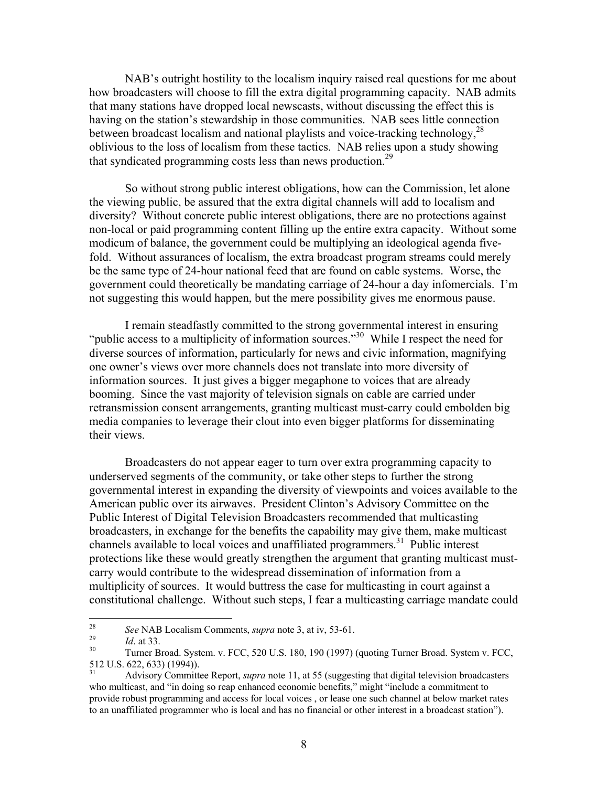NAB's outright hostility to the localism inquiry raised real questions for me about how broadcasters will choose to fill the extra digital programming capacity. NAB admits that many stations have dropped local newscasts, without discussing the effect this is having on the station's stewardship in those communities. NAB sees little connection between broadcast localism and national playlists and voice-tracking technology,  $^{28}$ oblivious to the loss of localism from these tactics. NAB relies upon a study showing that syndicated programming costs less than news production.<sup>29</sup>

So without strong public interest obligations, how can the Commission, let alone the viewing public, be assured that the extra digital channels will add to localism and diversity? Without concrete public interest obligations, there are no protections against non-local or paid programming content filling up the entire extra capacity. Without some modicum of balance, the government could be multiplying an ideological agenda fivefold. Without assurances of localism, the extra broadcast program streams could merely be the same type of 24-hour national feed that are found on cable systems. Worse, the government could theoretically be mandating carriage of 24-hour a day infomercials. I'm not suggesting this would happen, but the mere possibility gives me enormous pause.

I remain steadfastly committed to the strong governmental interest in ensuring "public access to a multiplicity of information sources."<sup>30</sup> While I respect the need for diverse sources of information, particularly for news and civic information, magnifying one owner's views over more channels does not translate into more diversity of information sources. It just gives a bigger megaphone to voices that are already booming. Since the vast majority of television signals on cable are carried under retransmission consent arrangements, granting multicast must-carry could embolden big media companies to leverage their clout into even bigger platforms for disseminating their views.

Broadcasters do not appear eager to turn over extra programming capacity to underserved segments of the community, or take other steps to further the strong governmental interest in expanding the diversity of viewpoints and voices available to the American public over its airwaves. President Clinton's Advisory Committee on the Public Interest of Digital Television Broadcasters recommended that multicasting broadcasters, in exchange for the benefits the capability may give them, make multicast channels available to local voices and unaffiliated programmers.<sup>31</sup> Public interest protections like these would greatly strengthen the argument that granting multicast mustcarry would contribute to the widespread dissemination of information from a multiplicity of sources. It would buttress the case for multicasting in court against a constitutional challenge. Without such steps, I fear a multicasting carriage mandate could

 $28\,$ 

<sup>&</sup>lt;sup>28</sup> *See* NAB Localism Comments, *supra* note 3, at iv, 53-61.<br>
<sup>29</sup> *Id.* at 33. <br>
<sup>30</sup> Turner Broad. System. v. FCC, 520 U.S. 180, 190 (1997) (quoting Turner Broad. System v. FCC, 512 U.S. 622, 633) (1994)).

<sup>31</sup> Advisory Committee Report, *supra* note 11, at 55 (suggesting that digital television broadcasters who multicast, and "in doing so reap enhanced economic benefits," might "include a commitment to provide robust programming and access for local voices , or lease one such channel at below market rates to an unaffiliated programmer who is local and has no financial or other interest in a broadcast station").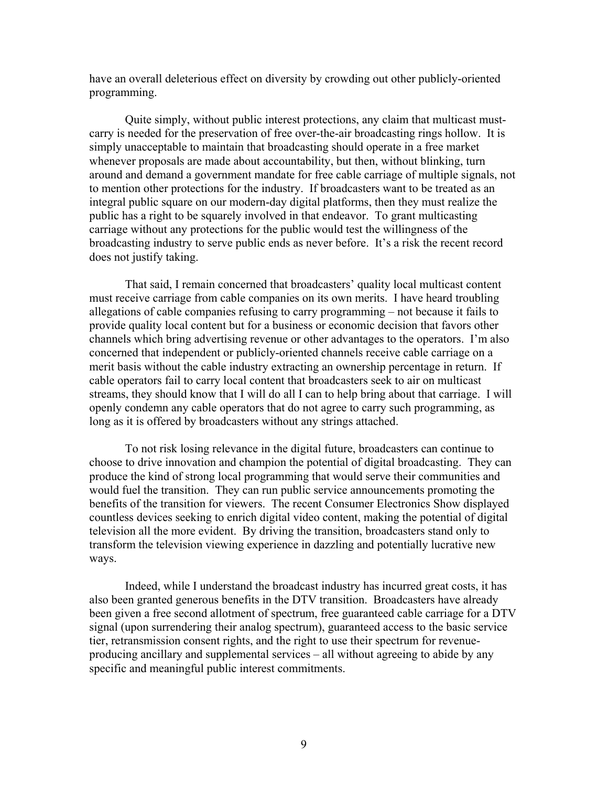have an overall deleterious effect on diversity by crowding out other publicly-oriented programming.

Quite simply, without public interest protections, any claim that multicast mustcarry is needed for the preservation of free over-the-air broadcasting rings hollow. It is simply unacceptable to maintain that broadcasting should operate in a free market whenever proposals are made about accountability, but then, without blinking, turn around and demand a government mandate for free cable carriage of multiple signals, not to mention other protections for the industry. If broadcasters want to be treated as an integral public square on our modern-day digital platforms, then they must realize the public has a right to be squarely involved in that endeavor. To grant multicasting carriage without any protections for the public would test the willingness of the broadcasting industry to serve public ends as never before. It's a risk the recent record does not justify taking.

That said, I remain concerned that broadcasters' quality local multicast content must receive carriage from cable companies on its own merits. I have heard troubling allegations of cable companies refusing to carry programming – not because it fails to provide quality local content but for a business or economic decision that favors other channels which bring advertising revenue or other advantages to the operators. I'm also concerned that independent or publicly-oriented channels receive cable carriage on a merit basis without the cable industry extracting an ownership percentage in return. If cable operators fail to carry local content that broadcasters seek to air on multicast streams, they should know that I will do all I can to help bring about that carriage. I will openly condemn any cable operators that do not agree to carry such programming, as long as it is offered by broadcasters without any strings attached.

To not risk losing relevance in the digital future, broadcasters can continue to choose to drive innovation and champion the potential of digital broadcasting. They can produce the kind of strong local programming that would serve their communities and would fuel the transition. They can run public service announcements promoting the benefits of the transition for viewers. The recent Consumer Electronics Show displayed countless devices seeking to enrich digital video content, making the potential of digital television all the more evident. By driving the transition, broadcasters stand only to transform the television viewing experience in dazzling and potentially lucrative new ways.

Indeed, while I understand the broadcast industry has incurred great costs, it has also been granted generous benefits in the DTV transition. Broadcasters have already been given a free second allotment of spectrum, free guaranteed cable carriage for a DTV signal (upon surrendering their analog spectrum), guaranteed access to the basic service tier, retransmission consent rights, and the right to use their spectrum for revenueproducing ancillary and supplemental services – all without agreeing to abide by any specific and meaningful public interest commitments.